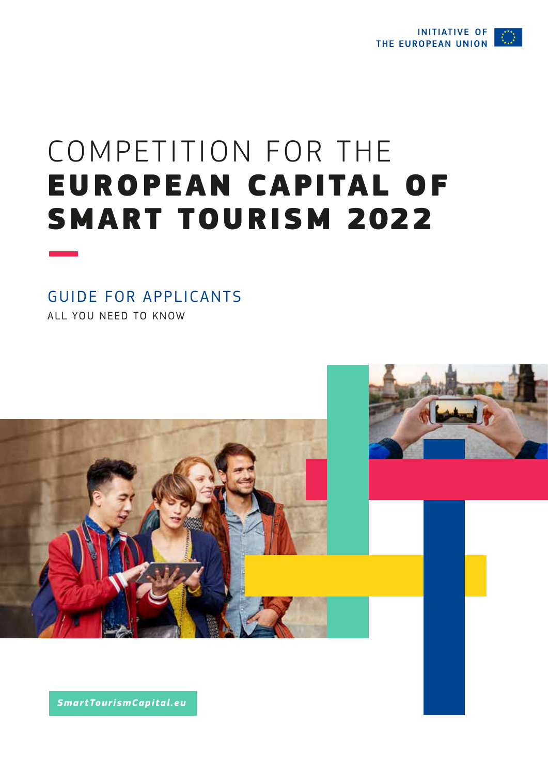

# COMPETITION FOR THE EUROPEAN CAPITAL OF SMART TOURISM 2022

# GUIDE FOR APPLICANTS

ALL YOU NEED TO KNOW



*SmartTourismCapital.eu*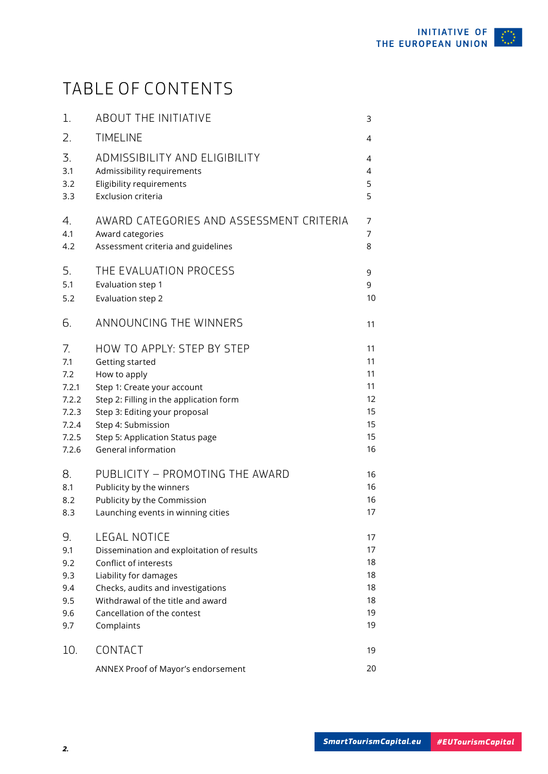# TABLE OF CONTENTS

| 1.    | <b>ABOUT THE INITIATIVE</b>               | 3              |
|-------|-------------------------------------------|----------------|
| 2.    | <b>TIMELINE</b>                           | 4              |
| 3.    | ADMISSIBILITY AND ELIGIBILITY             | 4              |
| 3.1   | Admissibility requirements                | 4              |
| 3.2   | Eligibility requirements                  | 5              |
| 3.3   | Exclusion criteria                        | 5              |
| 4.    | AWARD CATEGORIES AND ASSESSMENT CRITERIA  | 7              |
| 4.1   | Award categories                          | $\overline{7}$ |
| 4.2   | Assessment criteria and guidelines        | 8              |
| 5.    | THE EVALUATION PROCESS                    | 9              |
| 5.1   | Evaluation step 1                         | 9              |
| 5.2   | Evaluation step 2                         | 10             |
| 6.    | ANNOUNCING THE WINNERS                    | 11             |
| 7.    | HOW TO APPLY: STEP BY STEP                | 11             |
| 7.1   | Getting started                           | 11             |
| 7.2   | How to apply                              | 11             |
| 7.2.1 | Step 1: Create your account               | 11             |
| 7.2.2 | Step 2: Filling in the application form   | 12             |
| 7.2.3 | Step 3: Editing your proposal             | 15             |
| 7.2.4 | Step 4: Submission                        | 15             |
| 7.2.5 | Step 5: Application Status page           | 15             |
| 7.2.6 | General information                       | 16             |
| 8.    | PUBLICITY - PROMOTING THE AWARD           | 16             |
| 8.1   | Publicity by the winners                  | 16             |
| 8.2   | Publicity by the Commission               | 16             |
| 8.3   | Launching events in winning cities        | 17             |
| 9.    | LEGAL NOTICE                              | 17             |
| 9.1   | Dissemination and exploitation of results | 17             |
| 9.2   | Conflict of interests                     | 18             |
| 9.3   | Liability for damages                     | 18             |
| 9.4   | Checks, audits and investigations         | 18             |
| 9.5   | Withdrawal of the title and award         | 18             |
| 9.6   | Cancellation of the contest               | 19             |
| 9.7   | Complaints                                | 19             |
| 10.   | CONTACT                                   | 19             |
|       | ANNEX Proof of Mayor's endorsement        | 20             |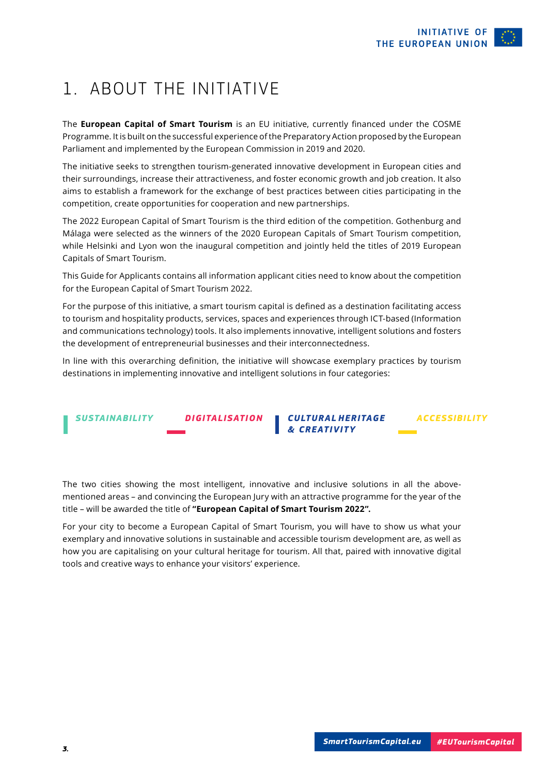*ACCESSIBILITY*

# <span id="page-2-0"></span>1. ABOUT THE INITIATIVE

The **European Capital of Smart Tourism** is an EU initiative, currently financed under the COSME Programme. It is built on the successful experience of the Preparatory Action proposed by the European Parliament and implemented by the European Commission in 2019 and 2020.

The initiative seeks to strengthen tourism-generated innovative development in European cities and their surroundings, increase their attractiveness, and foster economic growth and job creation. It also aims to establish a framework for the exchange of best practices between cities participating in the competition, create opportunities for cooperation and new partnerships.

The 2022 European Capital of Smart Tourism is the third edition of the competition. Gothenburg and Málaga were selected as the winners of the 2020 European Capitals of Smart Tourism competition, while Helsinki and Lyon won the inaugural competition and jointly held the titles of 2019 European Capitals of Smart Tourism.

This Guide for Applicants contains all information applicant cities need to know about the competition for the European Capital of Smart Tourism 2022.

For the purpose of this initiative, a smart tourism capital is defined as a destination facilitating access to tourism and hospitality products, services, spaces and experiences through ICT-based (Information and communications technology) tools. It also implements innovative, intelligent solutions and fosters the development of entrepreneurial businesses and their interconnectedness.

In line with this overarching definition, the initiative will showcase exemplary practices by tourism destinations in implementing innovative and intelligent solutions in four categories:

*SUSTAINABILITY DIGITALISATION CULTURAL HERITAGE & CREATIVITY*

The two cities showing the most intelligent, innovative and inclusive solutions in all the abovementioned areas – and convincing the European Jury with an attractive programme for the year of the title – will be awarded the title of **"European Capital of Smart Tourism 2022".**

For your city to become a European Capital of Smart Tourism, you will have to show us what your exemplary and innovative solutions in sustainable and accessible tourism development are, as well as how you are capitalising on your cultural heritage for tourism. All that, paired with innovative digital tools and creative ways to enhance your visitors' experience.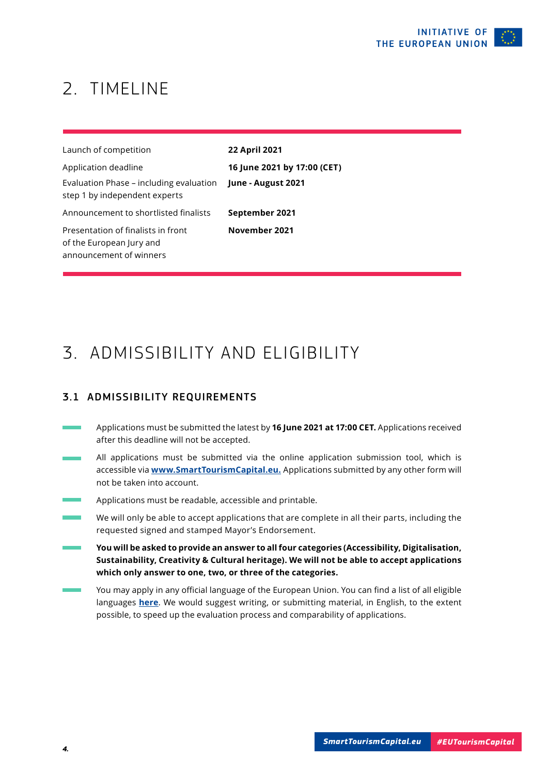## <span id="page-3-0"></span>2. TIMELINE

| Launch of competition                                                                     | 22 April 2021               |
|-------------------------------------------------------------------------------------------|-----------------------------|
| Application deadline                                                                      | 16 June 2021 by 17:00 (CET) |
| Evaluation Phase – including evaluation<br>step 1 by independent experts                  | June - August 2021          |
| Announcement to shortlisted finalists                                                     | September 2021              |
| Presentation of finalists in front<br>of the European Jury and<br>announcement of winners | November 2021               |

### 3. ADMISSIBILITY AND ELIGIBILITY

#### 3.1 ADMISSIBILITY REQUIREMENTS

- Applications must be submitted the latest by **16 June 2021 at 17:00 CET.** Applications received after this deadline will not be accepted.
- All applicati[ons must be submitted via the on](http://www.smarttourismcapital.eu)line application submission tool, which is accessible via **www.SmartTourismCapital.eu.** Applications submitted by any other form will not be taken into account.
- Applications must be readable, accessible and printable.
- We will only be able to accept applications that are complete in all their parts, including the requested signed and stamped Mayor's Endorsement.
- **You will be asked to provide an answer to all four categories (Accessibility, Digitalisation, Sustainability, Creativity & Cultural heritage). We will not be able to accept applications which only answer to one, two, or three of the categories.**
- You may apply in any official language of the European Union. You can find a list of all eligible languages **[here](https://europa.eu/european-union/about-eu/eu-languages_en)**. We would suggest writing, or submitting material, in English, to the extent possible, to speed up the evaluation process and comparability of applications.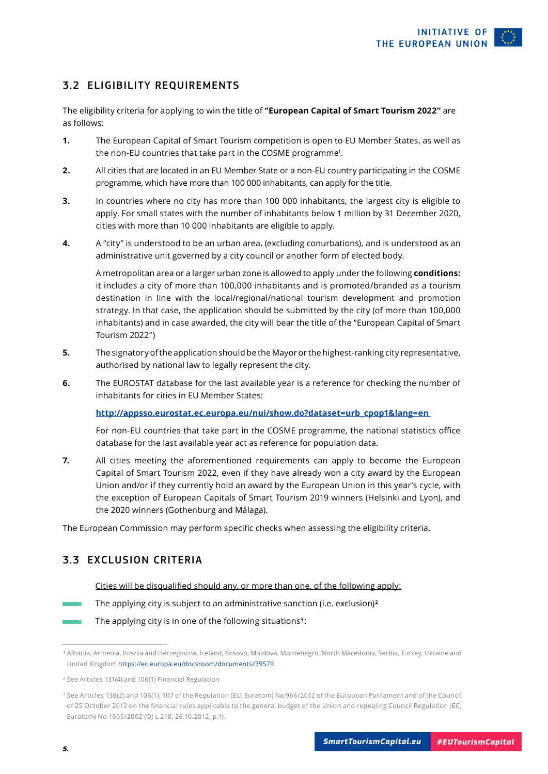#### <span id="page-4-0"></span>3.2 ELIGIBILITY REQUIREMENTS

The eligibility criteria for applying to win the title of **"European Capital of Smart Tourism 2022"** are as follows:

- **1.** The European Capital of Smart Tourism competition is open to EU Member States, as well as the non-EU countries that take part in the COSME programme<sup>1</sup>.
- **2.** All cities that are located in an EU Member State or a non-EU country participating in the COSME programme, which have more than 100 000 inhabitants, can apply for the title.
- **3.** In countries where no city has more than 100 000 inhabitants, the largest city is eligible to apply. For small states with the number of inhabitants below 1 million by 31 December 2020, cities with more than 10 000 inhabitants are eligible to apply.
- **4.** A "city" is understood to be an urban area, (excluding conurbations), and is understood as an administrative unit governed by a city council or another form of elected body.

 A metropolitan area or a larger urban zone is allowed to apply under the following **conditions:** it includes a city of more than 100,000 inhabitants and is promoted/branded as a tourism destination in line with the local/regional/national tourism development and promotion strategy. In that case, the application should be submitted by the city (of more than 100,000 inhabitants) and in case awarded, the city will bear the title of the "European Capital of Smart Tourism 2022")

- **5.** The signatory of the application should be the Mayor or the highest-ranking city representative, authorised by national law to legally represent the city.
- **6.** The EUROSTAT database for the last available year is a reference for checking the number of inhabitants for cities in EU Member States:

#### **http://appsso.eurostat.ec.europa.eu/nui/show.do?dataset=urb\_cpop1&lang=en**

For non-EU countries that take part in the COSME programme, the national statistics office database for the last available year act as reference for population data.

**7.** All cities meeting the aforementioned requirements can apply to become the European Capital of Smart Tourism 2022, even if they have already won a city award by the European Union and/or if they currently hold an award by the European Union in this year's cycle, with the exception of European Capitals of Smart Tourism 2019 winners (Helsinki and Lyon), and the 2020 winners (Gothenburg and Málaga).

The European Commission may perform specific checks when assessing the eligibility criteria.

#### 3.3 EXCLUSION CRITERIA

#### Cities will be disqualified should any, or more than one, of the following apply:

The applying city is subject to an administrative sanction (i.e. exclusion)**<sup>2</sup>**

The applying city is in one of the following situations**3** :

<sup>&</sup>lt;sup>1</sup> Albania, Armenia, Bosnia and Herzegovina, Iceland, Kosovo, Moldova, Montenegro, North Macedonia, Serbia, Turkey, Ukraine and United Kingdom https://ec.europa.eu/docsroom/documents/39579

<sup>2</sup> See Articles 131(4) and 106(1) Financial Regulation

<sup>3</sup> See Articles 138(2) and 106(1), 107 of the Regulation (EU, Euratom) No 966/2012 of the European Parliament and of the Council of 25 October 2012 on the financial rules applicable to the general budget of the Union and repealing Council Regulation (EC, Euratom) No 1605/2002 (OJ L 218, 26.10.2012, p.1).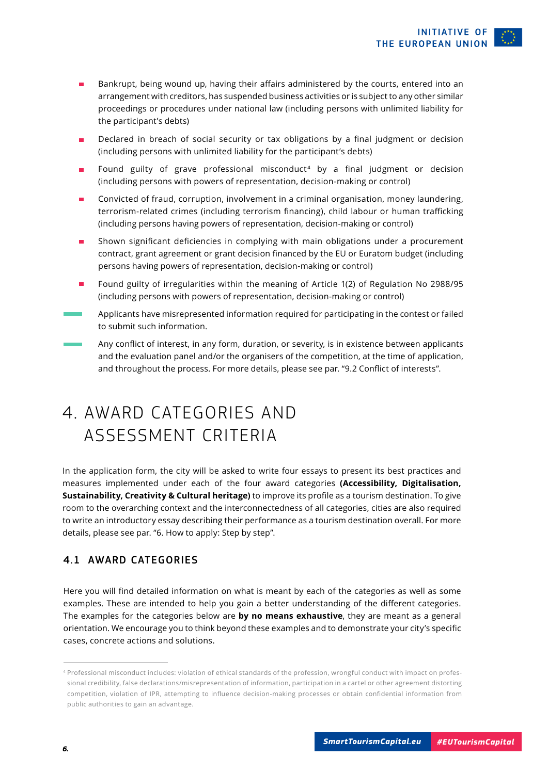- Bankrupt, being wound up, having their affairs administered by the courts, entered into an arrangement with creditors, has suspended business activities or is subject to any other similar proceedings or procedures under national law (including persons with unlimited liability for the participant's debts)
- Declared in breach of social security or tax obligations by a final judgment or decision (including persons with unlimited liability for the participant's debts)
- Found guilty of grave professional misconduct<sup>4</sup> by a final judgment or decision (including persons with powers of representation, decision-making or control)
- Convicted of fraud, corruption, involvement in a criminal organisation, money laundering, terrorism-related crimes (including terrorism financing), child labour or human trafficking (including persons having powers of representation, decision-making or control)
- Shown significant deficiencies in complying with main obligations under a procurement contract, grant agreement or grant decision financed by the EU or Euratom budget (including persons having powers of representation, decision-making or control)
- Found guilty of irregularities within the meaning of Article 1(2) of Regulation No 2988/95 (including persons with powers of representation, decision-making or control)
- Applicants have misrepresented information required for participating in the contest or failed to submit such information.
- Any conflict of interest, in any form, duration, or severity, is in existence between applicants and the evaluation panel and/or the organisers of the competition, at the time of application, and throughout the process. For more details, please see par. "9.2 Conflict of interests".

### 4. AWARD CATEGORIES AND ASSESSMENT CRITERIA

In the application form, the city will be asked to write four essays to present its best practices and measures implemented under each of the four award categories **(Accessibility, Digitalisation, Sustainability, Creativity & Cultural heritage)** to improve its profile as a tourism destination. To give room to the overarching context and the interconnectedness of all categories, cities are also required to write an introductory essay describing their performance as a tourism destination overall. For more details, please see par. "6. How to apply: Step by step".

#### 4.1 AWARD CATEGORIES

Here you will find detailed information on what is meant by each of the categories as well as some examples. These are intended to help you gain a better understanding of the different categories. The examples for the categories below are **by no means exhaustive**, they are meant as a general orientation. We encourage you to think beyond these examples and to demonstrate your city's specific cases, concrete actions and solutions.

<sup>4</sup> Professional misconduct includes: violation of ethical standards of the profession, wrongful conduct with impact on professional credibility, false declarations/misrepresentation of information, participation in a cartel or other agreement distorting competition, violation of IPR, attempting to influence decision-making processes or obtain confidential information from public authorities to gain an advantage.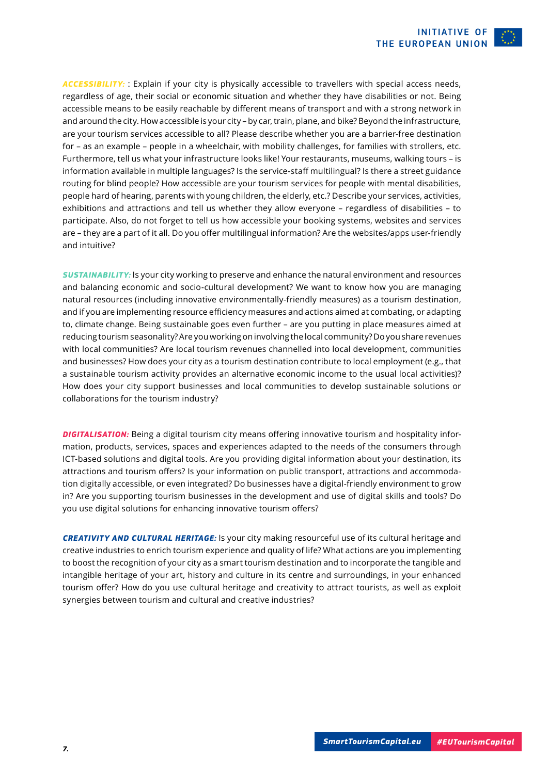<span id="page-6-0"></span>*ACCESSIBILITY:* : Explain if your city is physically accessible to travellers with special access needs, regardless of age, their social or economic situation and whether they have disabilities or not. Being accessible means to be easily reachable by different means of transport and with a strong network in and around the city. How accessible is your city – by car, train, plane, and bike? Beyond the infrastructure, are your tourism services accessible to all? Please describe whether you are a barrier-free destination for – as an example – people in a wheelchair, with mobility challenges, for families with strollers, etc. Furthermore, tell us what your infrastructure looks like! Your restaurants, museums, walking tours – is information available in multiple languages? Is the service-staff multilingual? Is there a street guidance routing for blind people? How accessible are your tourism services for people with mental disabilities, people hard of hearing, parents with young children, the elderly, etc.? Describe your services, activities, exhibitions and attractions and tell us whether they allow everyone – regardless of disabilities – to participate. Also, do not forget to tell us how accessible your booking systems, websites and services are – they are a part of it all. Do you offer multilingual information? Are the websites/apps user-friendly and intuitive?

*SUSTAINABILITY:* Is your city working to preserve and enhance the natural environment and resources and balancing economic and socio-cultural development? We want to know how you are managing natural resources (including innovative environmentally-friendly measures) as a tourism destination, and if you are implementing resource efficiency measures and actions aimed at combating, or adapting to, climate change. Being sustainable goes even further – are you putting in place measures aimed at reducing tourism seasonality? Are you working on involving the local community? Do you share revenues with local communities? Are local tourism revenues channelled into local development, communities and businesses? How does your city as a tourism destination contribute to local employment (e.g., that a sustainable tourism activity provides an alternative economic income to the usual local activities)? How does your city support businesses and local communities to develop sustainable solutions or collaborations for the tourism industry?

*DIGITALISATION:* Being a digital tourism city means offering innovative tourism and hospitality information, products, services, spaces and experiences adapted to the needs of the consumers through ICT-based solutions and digital tools. Are you providing digital information about your destination, its attractions and tourism offers? Is your information on public transport, attractions and accommodation digitally accessible, or even integrated? Do businesses have a digital-friendly environment to grow in? Are you supporting tourism businesses in the development and use of digital skills and tools? Do you use digital solutions for enhancing innovative tourism offers?

*CREATIVITY AND CULTURAL HERITAGE:* Is your city making resourceful use of its cultural heritage and creative industries to enrich tourism experience and quality of life? What actions are you implementing to boost the recognition of your city as a smart tourism destination and to incorporate the tangible and intangible heritage of your art, history and culture in its centre and surroundings, in your enhanced tourism offer? How do you use cultural heritage and creativity to attract tourists, as well as exploit synergies between tourism and cultural and creative industries?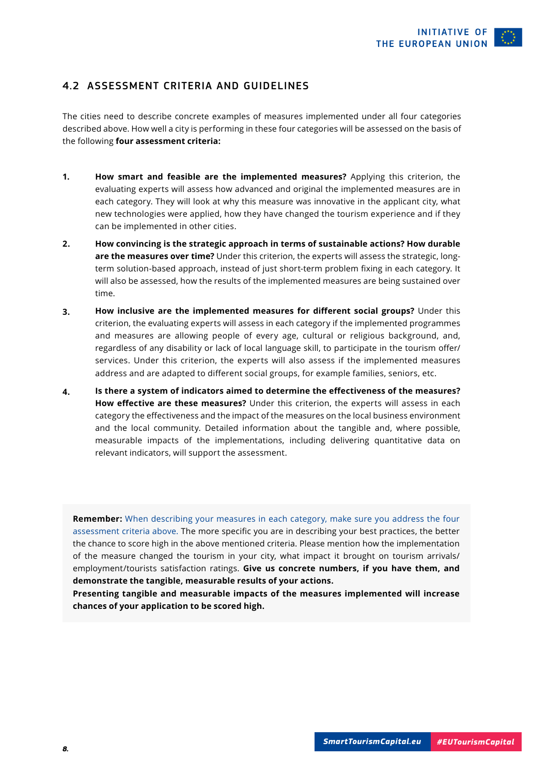#### <span id="page-7-0"></span>4.2 ASSESSMENT CRITERIA AND GUIDELINES

The cities need to describe concrete examples of measures implemented under all four categories described above. How well a city is performing in these four categories will be assessed on the basis of the following **four assessment criteria:**

- **How smart and feasible are the implemented measures?** Applying this criterion, the evaluating experts will assess how advanced and original the implemented measures are in each category. They will look at why this measure was innovative in the applicant city, what new technologies were applied, how they have changed the tourism experience and if they can be implemented in other cities. **1.**
- **How convincing is the strategic approach in terms of sustainable actions? How durable are the measures over time?** Under this criterion, the experts will assess the strategic, longterm solution-based approach, instead of just short-term problem fixing in each category. It will also be assessed, how the results of the implemented measures are being sustained over time. **2.**
- **How inclusive are the implemented measures for different social groups?** Under this criterion, the evaluating experts will assess in each category if the implemented programmes and measures are allowing people of every age, cultural or religious background, and, regardless of any disability or lack of local language skill, to participate in the tourism offer/ services. Under this criterion, the experts will also assess if the implemented measures address and are adapted to different social groups, for example families, seniors, etc. **3.**
- **Is there a system of indicators aimed to determine the effectiveness of the measures? How effective are these measures?** Under this criterion, the experts will assess in each category the effectiveness and the impact of the measures on the local business environment and the local community. Detailed information about the tangible and, where possible, measurable impacts of the implementations, including delivering quantitative data on relevant indicators, will support the assessment. **4.**

**Remember:** When describing your measures in each category, make sure you address the four assessment criteria above. The more specific you are in describing your best practices, the better the chance to score high in the above mentioned criteria. Please mention how the implementation of the measure changed the tourism in your city, what impact it brought on tourism arrivals/ employment/tourists satisfaction ratings. **Give us concrete numbers, if you have them, and demonstrate the tangible, measurable results of your actions.** 

**Presenting tangible and measurable impacts of the measures implemented will increase chances of your application to be scored high.**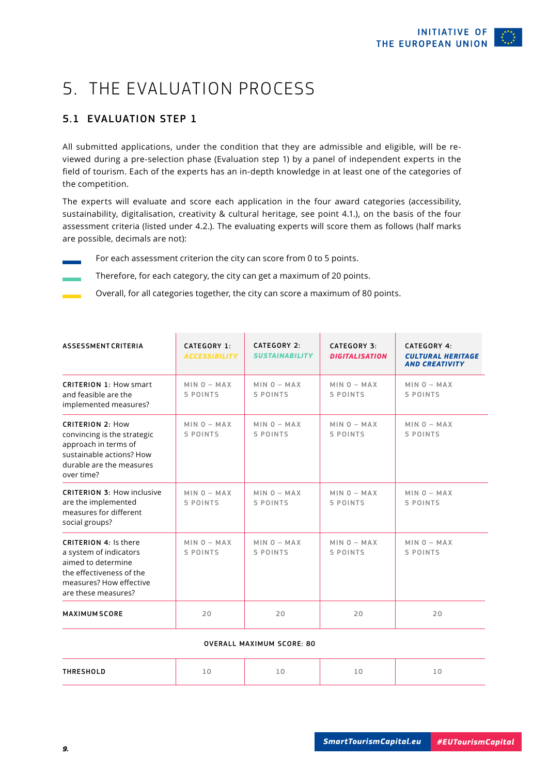# <span id="page-8-0"></span>5. THE EVALUATION PROCESS

#### 5.1 EVALUATION STEP 1

All submitted applications, under the condition that they are admissible and eligible, will be reviewed during a pre-selection phase (Evaluation step 1) by a panel of independent experts in the field of tourism. Each of the experts has an in-depth knowledge in at least one of the categories of the competition.

The experts will evaluate and score each application in the four award categories (accessibility, sustainability, digitalisation, creativity & cultural heritage, see point 4.1.), on the basis of the four assessment criteria (listed under 4.2.). The evaluating experts will score them as follows (half marks are possible, decimals are not):

For each assessment criterion the city can score from 0 to 5 points.

Therefore, for each category, the city can get a maximum of 20 points.

Overall, for all categories together, the city can score a maximum of 80 points.

| <b>ASSESSMENT CRITERIA</b>                                                                                                                                 | CATEGORY 1:<br><b>ACCESSIBILITY</b> | CATFGORY 2:<br><b>SUSTAINABILITY</b> | CATEGORY 3:<br><b>DIGITALISATION</b> | CATEGORY 4:<br><b>CULTURAL HERITAGE</b><br><b>AND CREATIVITY</b> |
|------------------------------------------------------------------------------------------------------------------------------------------------------------|-------------------------------------|--------------------------------------|--------------------------------------|------------------------------------------------------------------|
| <b>CRITERION 1: How smart</b><br>and feasible are the<br>implemented measures?                                                                             | $MIN O - MAX$<br>5 POINTS           | $MIN O - MAX$<br>5 POINTS            | $MIN O - MAX$<br>5 POINTS            | $MIN 0 - MAX$<br>5 POINTS                                        |
| <b>CRITERION 2: How</b><br>convincing is the strategic<br>approach in terms of<br>sustainable actions? How<br>durable are the measures<br>over time?       | $MIN O - MAX$<br>5 POINTS           | $MIN O - MAX$<br>5 POINTS            | $MIN O - MAX$<br>5 POINTS            | $MIN O - MAX$<br>5 POINTS                                        |
| <b>CRITERION 3: How inclusive</b><br>are the implemented<br>measures for different<br>social groups?                                                       | $MIN O - MAX$<br>5 POINTS           | $MIN 0 - MAX$<br>5 POINTS            | $MIN 0 - MAX$<br>5 POINTS            | $MIN 0 - MAX$<br>5 POINTS                                        |
| <b>CRITERION 4: Is there</b><br>a system of indicators<br>aimed to determine<br>the effectiveness of the<br>measures? How effective<br>are these measures? | $MIN 0 - MAX$<br>5 POINTS           | $MIN 0 - MAX$<br>5 POINTS            | $MIN 0 - MAX$<br>5 POINTS            | $MIN 0 - MAX$<br>5 POINTS                                        |
| <b>MAXIMUM SCORE</b>                                                                                                                                       | 20                                  | 20                                   | 20                                   | 20                                                               |

#### OVERALL MAXIMUM SCORE: 80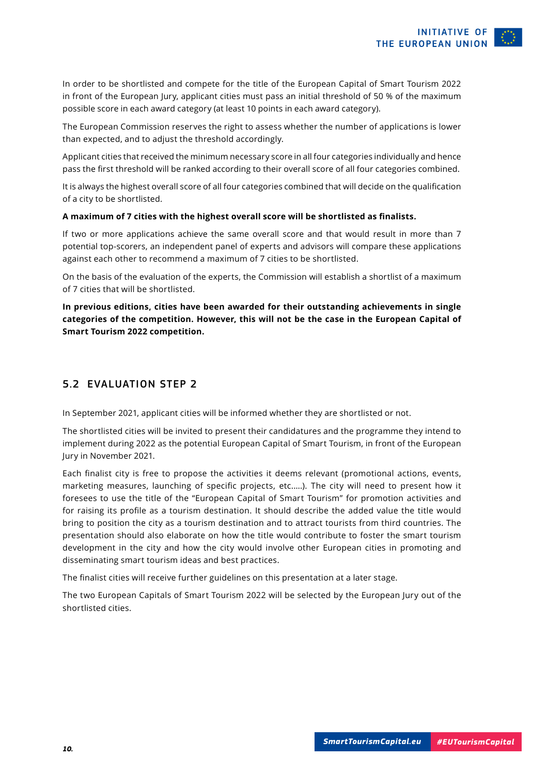<span id="page-9-0"></span>In order to be shortlisted and compete for the title of the European Capital of Smart Tourism 2022 in front of the European Jury, applicant cities must pass an initial threshold of 50 % of the maximum possible score in each award category (at least 10 points in each award category).

The European Commission reserves the right to assess whether the number of applications is lower than expected, and to adjust the threshold accordingly.

Applicant cities that received the minimum necessary score in all four categories individually and hence pass the first threshold will be ranked according to their overall score of all four categories combined.

It is always the highest overall score of all four categories combined that will decide on the qualification of a city to be shortlisted.

#### **A maximum of 7 cities with the highest overall score will be shortlisted as finalists.**

If two or more applications achieve the same overall score and that would result in more than 7 potential top-scorers, an independent panel of experts and advisors will compare these applications against each other to recommend a maximum of 7 cities to be shortlisted.

On the basis of the evaluation of the experts, the Commission will establish a shortlist of a maximum of 7 cities that will be shortlisted.

**In previous editions, cities have been awarded for their outstanding achievements in single categories of the competition. However, this will not be the case in the European Capital of Smart Tourism 2022 competition.** 

#### 5.2 EVALUATION STEP 2

In September 2021, applicant cities will be informed whether they are shortlisted or not.

The shortlisted cities will be invited to present their candidatures and the programme they intend to implement during 2022 as the potential European Capital of Smart Tourism, in front of the European Jury in November 2021.

Each finalist city is free to propose the activities it deems relevant (promotional actions, events, marketing measures, launching of specific projects, etc.….). The city will need to present how it foresees to use the title of the "European Capital of Smart Tourism" for promotion activities and for raising its profile as a tourism destination. It should describe the added value the title would bring to position the city as a tourism destination and to attract tourists from third countries. The presentation should also elaborate on how the title would contribute to foster the smart tourism development in the city and how the city would involve other European cities in promoting and disseminating smart tourism ideas and best practices.

The finalist cities will receive further guidelines on this presentation at a later stage.

The two European Capitals of Smart Tourism 2022 will be selected by the European Jury out of the shortlisted cities.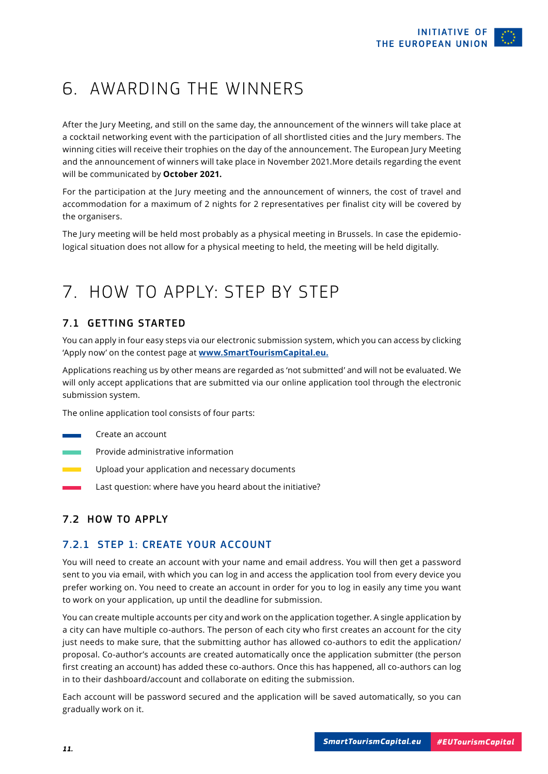# <span id="page-10-0"></span>6. AWARDING THE WINNERS

After the Jury Meeting, and still on the same day, the announcement of the winners will take place at a cocktail networking event with the participation of all shortlisted cities and the Jury members. The winning cities will receive their trophies on the day of the announcement. The European Jury Meeting and the announcement of winners will take place in November 2021.More details regarding the event will be communicated by **October 2021.**

For the participation at the Jury meeting and the announcement of winners, the cost of travel and accommodation for a maximum of 2 nights for 2 representatives per finalist city will be covered by the organisers.

The Jury meeting will be held most probably as a physical meeting in Brussels. In case the epidemiological situation does not allow for a physical meeting to held, the meeting will be held digitally.

### 7. HOW TO AP[PLY: STEP BY STEP](http://www.smarttourismcapital.eu)

#### 7.1 GETTING STARTED

You can apply in four easy steps via our electronic submission system, which you can access by clicking 'Apply now' on the contest page at **www.SmartTourismCapital.eu.**

Applications reaching us by other means are regarded as 'not submitted' and will not be evaluated. We will only accept applications that are submitted via our online application tool through the electronic submission system.

The online application tool consists of four parts:

- Create an account
- Provide administrative information
- Upload your application and necessary documents
	- Last question: where have you heard about the initiative?

#### 7.2 HOW TO APPLY

#### 7.2.1 STEP 1: CREATE YOUR ACCOUNT

You will need to create an account with your name and email address. You will then get a password sent to you via email, with which you can log in and access the application tool from every device you prefer working on. You need to create an account in order for you to log in easily any time you want to work on your application, up until the deadline for submission.

You can create multiple accounts per city and work on the application together. A single application by a city can have multiple co-authors. The person of each city who first creates an account for the city just needs to make sure, that the submitting author has allowed co-authors to edit the application/ proposal. Co-author's accounts are created automatically once the application submitter (the person first creating an account) has added these co-authors. Once this has happened, all co-authors can log in to their dashboard/account and collaborate on editing the submission.

Each account will be password secured and the application will be saved automatically, so you can gradually work on it.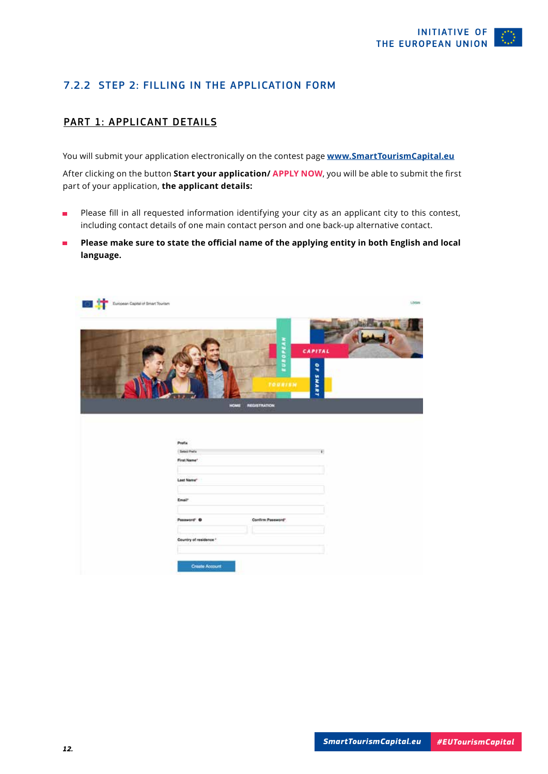#### <span id="page-11-0"></span>7.2.2 STEP 2: FILLING IN THE APPLICATION FORM

#### PART 1: APPLICANT DETAILS

You will submit your application electronically on the contest page **[www.SmartTourismCapital.eu](http://www.smarttourismcapital.eu)**

After clicking on the button **Start your application/ APPLY NOW**, you will be able to submit the first part of your application, **the applicant details:**

- Please fill in all requested information identifying your city as an applicant city to this contest,  $\blacksquare$ including contact details of one main contact person and one back-up alternative contact.
- **Please make sure to state the official name of the applying entity in both English and local**   $\blacksquare$ **language.**

| 回算<br>European Capital of Smart Tourism |                        |                                                      | LOGIN        |
|-----------------------------------------|------------------------|------------------------------------------------------|--------------|
|                                         |                        | EUROPEAN                                             | CAPITAL<br>٩ |
|                                         |                        | TOURISM<br><b><i>REGISTRATION</i></b><br><b>HOME</b> | SHART        |
|                                         | Prefix                 |                                                      |              |
|                                         | <b>Select Prefax</b>   |                                                      | ¥.           |
|                                         | First Name*            |                                                      |              |
|                                         |                        |                                                      |              |
|                                         | Last Name"             |                                                      |              |
|                                         | Enair                  |                                                      |              |
|                                         | Password' O            | Confirm Password*                                    |              |
|                                         | Country of residence * |                                                      |              |
|                                         |                        |                                                      |              |
|                                         |                        |                                                      |              |
|                                         | <b>Create Account</b>  |                                                      |              |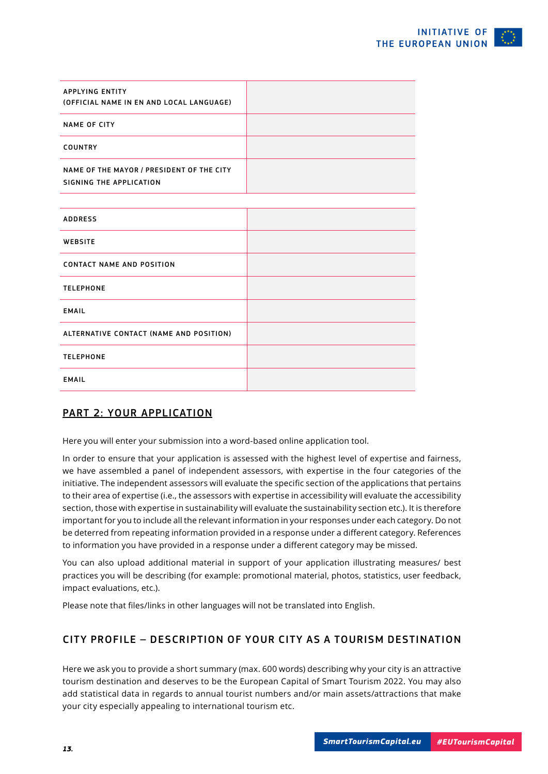| <b>APPLYING ENTITY</b><br>(OFFICIAL NAME IN EN AND LOCAL LANGUAGE)   |  |
|----------------------------------------------------------------------|--|
| <b>NAME OF CITY</b>                                                  |  |
| <b>COUNTRY</b>                                                       |  |
| NAME OF THE MAYOR / PRESIDENT OF THE CITY<br>SIGNING THE APPLICATION |  |

| <b>ADDRESS</b>                          |  |
|-----------------------------------------|--|
| WEBSITE                                 |  |
| <b>CONTACT NAME AND POSITION</b>        |  |
| <b>TELEPHONE</b>                        |  |
| <b>EMAIL</b>                            |  |
| ALTERNATIVE CONTACT (NAME AND POSITION) |  |
| <b>TELEPHONE</b>                        |  |
| <b>EMAIL</b>                            |  |

#### PART 2: YOUR APPLICATION

Here you will enter your submission into a word-based online application tool.

In order to ensure that your application is assessed with the highest level of expertise and fairness, we have assembled a panel of independent assessors, with expertise in the four categories of the initiative. The independent assessors will evaluate the specific section of the applications that pertains to their area of expertise (i.e., the assessors with expertise in accessibility will evaluate the accessibility section, those with expertise in sustainability will evaluate the sustainability section etc.). It is therefore important for you to include all the relevant information in your responses under each category. Do not be deterred from repeating information provided in a response under a different category. References to information you have provided in a response under a different category may be missed.

You can also upload additional material in support of your application illustrating measures/ best practices you will be describing (for example: promotional material, photos, statistics, user feedback, impact evaluations, etc.).

Please note that files/links in other languages will not be translated into English.

#### CITY PROFILE – DESCRIPTION OF YOUR CITY AS A TOURISM DESTINATION

Here we ask you to provide a short summary (max. 600 words) describing why your city is an attractive tourism destination and deserves to be the European Capital of Smart Tourism 2022. You may also add statistical data in regards to annual tourist numbers and/or main assets/attractions that make your city especially appealing to international tourism etc.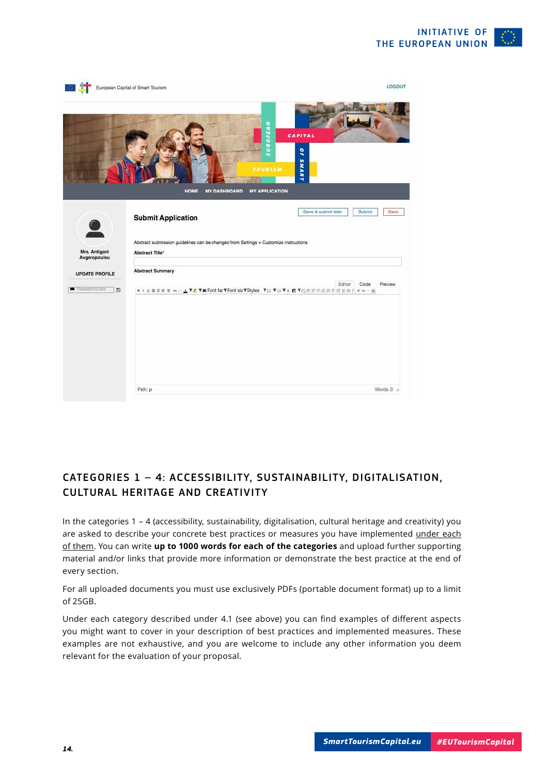

|                               | European Capital of Smart Tourism                                                                                 | LOGOUT                                                |
|-------------------------------|-------------------------------------------------------------------------------------------------------------------|-------------------------------------------------------|
|                               | z<br>EUROPEA<br><b>TOURISM</b>                                                                                    | CAPITAL<br>٩                                          |
|                               | <b>MY DASHBOARD</b><br><b>HOME</b><br><b>MY APPLICATION</b><br><b>Submit Application</b>                          | <b>SHART</b><br>Save & submit later<br>Submit<br>Back |
| Mrs. Antigoni<br>Avgeropoulou | Abstract submission guidelines can be changed from Settings > Customize instructions<br><b>Abstract Title*</b>    |                                                       |
| <b>UPDATE PROFILE</b>         | <b>Abstract Summary</b>                                                                                           | Editor<br>Preview<br>Code                             |
| R ResearchGate<br>图           | <b>n / p 画面图画 → A V Z V M Font far V Font siz V Styles V ;三 V ;三 V ≥ 国 V I ;三 区 三 三 三 三 三 三 三 三 三 三 三 三 二 二 三</b> |                                                       |
|                               |                                                                                                                   |                                                       |
|                               | Path: p                                                                                                           | Words: $0 \approx$                                    |

#### CATEGORIES 1 – 4: ACCESSIBILITY, SUSTAINABILITY, DIGITALISATION, CULTURAL HERITAGE AND CREATIVITY

In the categories 1 – 4 (accessibility, sustainability, digitalisation, cultural heritage and creativity) you are asked to describe your concrete best practices or measures you have implemented under each of them. You can write **up to 1000 words for each of the categories** and upload further supporting material and/or links that provide more information or demonstrate the best practice at the end of every section.

For all uploaded documents you must use exclusively PDFs (portable document format) up to a limit of 25GB.

Under each category described under 4.1 (see above) you can find examples of different aspects you might want to cover in your description of best practices and implemented measures. These examples are not exhaustive, and you are welcome to include any other information you deem relevant for the evaluation of your proposal.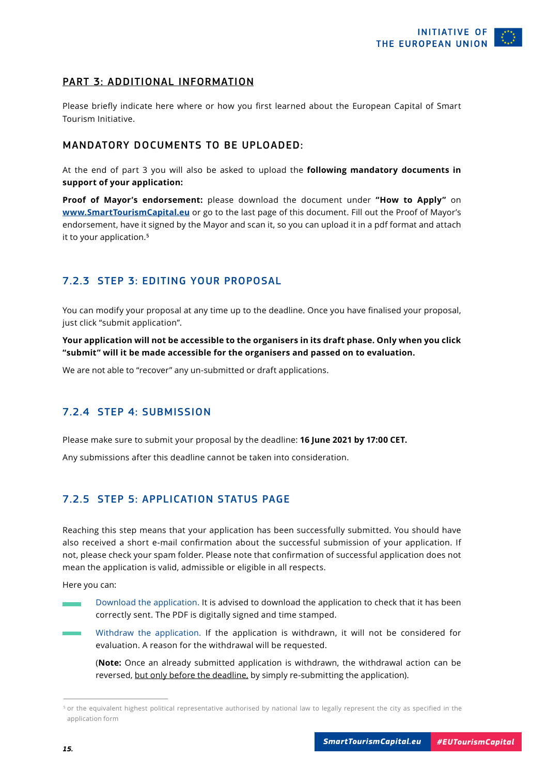#### <span id="page-14-0"></span>PART 3: ADDITIONAL INFORMATION

Please briefly indicate here where or how you first learned about the European Capital of Smart Tourism Initiative.

#### MANDATORY DOCUMENTS TO BE UPLOADED:

At the end of part 3 you will also be asked to upload the **following mandatory documents in support of your application:**

**Proof of Mayor's endorsement:** please download the document under **"How to Apply"** on **[www.SmartTourismCapital.eu](http://www.smarttourismcapital.eu)** or go to the last page of this document. Fill out the Proof of Mayor's endorsement, have it signed by the Mayor and scan it, so you can upload it in a pdf format and attach it to your application.**<sup>5</sup>**

#### 7.2.3 STEP 3: EDITING YOUR PROPOSAL

You can modify your proposal at any time up to the deadline. Once you have finalised your proposal, just click "submit application".

**Your application will not be accessible to the organisers in its draft phase. Only when you click "submit" will it be made accessible for the organisers and passed on to evaluation.**

We are not able to "recover" any un-submitted or draft applications.

#### 7.2.4 STEP 4: SUBMISSION

Please make sure to submit your proposal by the deadline: **16 June 2021 by 17:00 CET.**

Any submissions after this deadline cannot be taken into consideration.

#### 7.2.5 STEP 5: APPLICATION STATUS PAGE

Reaching this step means that your application has been successfully submitted. You should have also received a short e-mail confirmation about the successful submission of your application. If not, please check your spam folder. Please note that confirmation of successful application does not mean the application is valid, admissible or eligible in all respects.

Here you can:

- Download the application. It is advised to download the application to check that it has been correctly sent. The PDF is digitally signed and time stamped.
- Withdraw the application. If the application is withdrawn, it will not be considered for evaluation. A reason for the withdrawal will be requested.

 (**Note:** Once an already submitted application is withdrawn, the withdrawal action can be reversed, but only before the deadline, by simply re-submitting the application).

<sup>5</sup> or the equivalent highest political representative authorised by national law to legally represent the city as specified in the application form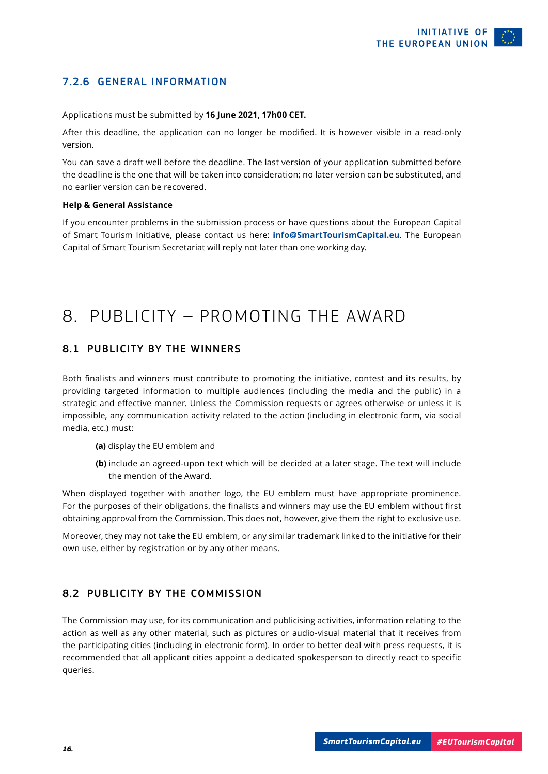#### <span id="page-15-0"></span>7.2.6 GENERAL INFORMATION

Applications must be submitted by **16 June 2021, 17h00 CET.**

After this deadline, the application can no longer be modified. It is however visible in a read-only version.

You can save a draft well before the deadline. The last version of your application submitted before the deadline is the one that will be taken into consideration; no later version can be substituted, and no earlier version can be recovered.

#### **Help & General Assistance**

If you encounter problems in the submission process or have questions about the European Capital of Smart Tourism Initiative, please contact us here: **info@SmartTourismCapital.eu**. The European Capital of Smart Tourism Secretariat will reply not later than one working day.

### 8. PUBLICITY – PROMOTING THE AWARD

#### 8.1 PUBLICITY BY THE WINNERS

Both finalists and winners must contribute to promoting the initiative, contest and its results, by providing targeted information to multiple audiences (including the media and the public) in a strategic and effective manner. Unless the Commission requests or agrees otherwise or unless it is impossible, any communication activity related to the action (including in electronic form, via social media, etc.) must:

- **(a)** display the EU emblem and
- **(b)** include an agreed-upon text which will be decided at a later stage. The text will include the mention of the Award.

When displayed together with another logo, the EU emblem must have appropriate prominence. For the purposes of their obligations, the finalists and winners may use the EU emblem without first obtaining approval from the Commission. This does not, however, give them the right to exclusive use.

Moreover, they may not take the EU emblem, or any similar trademark linked to the initiative for their own use, either by registration or by any other means.

#### 8.2 PUBLICITY BY THE COMMISSION

The Commission may use, for its communication and publicising activities, information relating to the action as well as any other material, such as pictures or audio-visual material that it receives from the participating cities (including in electronic form). In order to better deal with press requests, it is recommended that all applicant cities appoint a dedicated spokesperson to directly react to specific queries.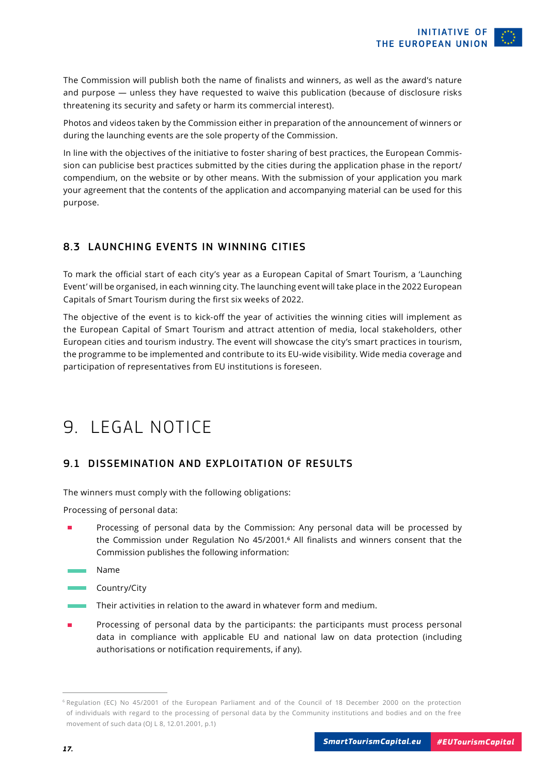<span id="page-16-0"></span>The Commission will publish both the name of finalists and winners, as well as the award's nature and purpose — unless they have requested to waive this publication (because of disclosure risks threatening its security and safety or harm its commercial interest).

Photos and videos taken by the Commission either in preparation of the announcement of winners or during the launching events are the sole property of the Commission.

In line with the objectives of the initiative to foster sharing of best practices, the European Commission can publicise best practices submitted by the cities during the application phase in the report/ compendium, on the website or by other means. With the submission of your application you mark your agreement that the contents of the application and accompanying material can be used for this purpose.

#### 8.3 LAUNCHING EVENTS IN WINNING CITIES

To mark the official start of each city's year as a European Capital of Smart Tourism, a 'Launching Event' will be organised, in each winning city. The launching event will take place in the 2022 European Capitals of Smart Tourism during the first six weeks of 2022.

The objective of the event is to kick-off the year of activities the winning cities will implement as the European Capital of Smart Tourism and attract attention of media, local stakeholders, other European cities and tourism industry. The event will showcase the city's smart practices in tourism, the programme to be implemented and contribute to its EU-wide visibility. Wide media coverage and participation of representatives from EU institutions is foreseen.

### 9. LEGAL NOTICE

#### 9.1 DISSEMINATION AND EXPLOITATION OF RESULTS

The winners must comply with the following obligations:

Processing of personal data:

- Processing of personal data by the Commission: Any personal data will be processed by the Commission under Regulation No 45/2001.**6** All finalists and winners consent that the Commission publishes the following information:
- Name
- **Country/City**
- Their activities in relation to the award in whatever form and medium.
- Processing of personal data by the participants: the participants must process personal data in compliance with applicable EU and national law on data protection (including authorisations or notification requirements, if any).

<sup>6</sup> Regulation (EC) No 45/2001 of the European Parliament and of the Council of 18 December 2000 on the protection of individuals with regard to the processing of personal data by the Community institutions and bodies and on the free movement of such data (OJ L 8, 12.01.2001, p.1)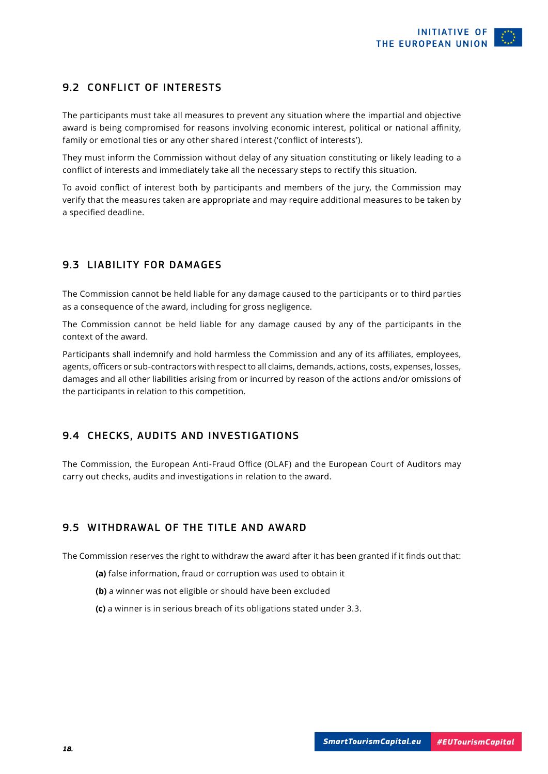#### <span id="page-17-0"></span>9.2 CONFLICT OF INTERESTS

The participants must take all measures to prevent any situation where the impartial and objective award is being compromised for reasons involving economic interest, political or national affinity, family or emotional ties or any other shared interest ('conflict of interests').

They must inform the Commission without delay of any situation constituting or likely leading to a conflict of interests and immediately take all the necessary steps to rectify this situation.

To avoid conflict of interest both by participants and members of the jury, the Commission may verify that the measures taken are appropriate and may require additional measures to be taken by a specified deadline.

#### 9.3 LIABILITY FOR DAMAGES

The Commission cannot be held liable for any damage caused to the participants or to third parties as a consequence of the award, including for gross negligence.

The Commission cannot be held liable for any damage caused by any of the participants in the context of the award.

Participants shall indemnify and hold harmless the Commission and any of its affiliates, employees, agents, officers or sub-contractors with respect to all claims, demands, actions, costs, expenses, losses, damages and all other liabilities arising from or incurred by reason of the actions and/or omissions of the participants in relation to this competition.

#### 9.4 CHECKS, AUDITS AND INVESTIGATIONS

The Commission, the European Anti-Fraud Office (OLAF) and the European Court of Auditors may carry out checks, audits and investigations in relation to the award.

#### 9.5 WITHDRAWAL OF THE TITLE AND AWARD

The Commission reserves the right to withdraw the award after it has been granted if it finds out that:

- **(a)** false information, fraud or corruption was used to obtain it
- **(b)** a winner was not eligible or should have been excluded
- **(c)** a winner is in serious breach of its obligations stated under 3.3.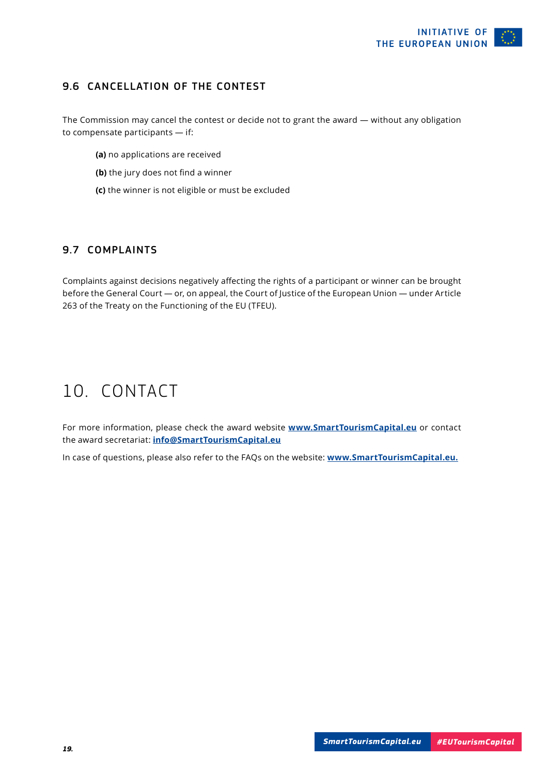#### <span id="page-18-0"></span>9.6 CANCELLATION OF THE CONTEST

The Commission may cancel the contest or decide not to grant the award — without any obligation to compensate participants — if:

- **(a)** no applications are received
- **(b)** the jury does not find a winner
- **(c)** the winner is not eligible or must be excluded

#### 9.7 COMPLAINTS

Complaints against decisions negatively affecting the rights of a participant or winner can be brought before the General Court — or, on appeal, the Court of Justice of the European Union — under Article 263 of the Treaty on the Functioning of the EU (TFEU).

# 10. CONTACT

For more information, please check the award website **[www.SmartTourismCapital.eu](http://www.smarttourismcapital.eu)** or contact the award secretariat: **info@SmartTourismCapital.eu**

In case of questions, please also refer to the FAQs on the website: **[www.SmartTourismCapital.eu.](http://www.smarttourismcapital.eu)**